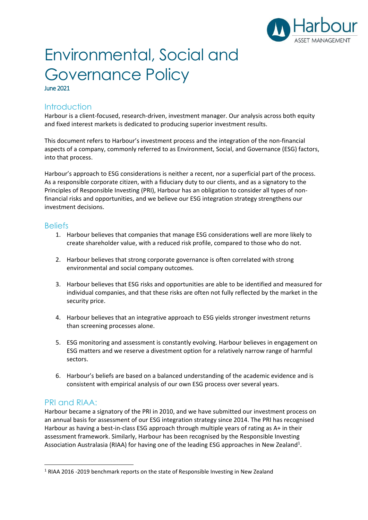

# Environmental, Social and Governance Policy June 2021

## Introduction

Harbour is a client-focused, research-driven, investment manager. Our analysis across both equity and fixed interest markets is dedicated to producing superior investment results.

This document refers to Harbour's investment process and the integration of the non-financial aspects of a company, commonly referred to as Environment, Social, and Governance (ESG) factors, into that process.

Harbour's approach to ESG considerations is neither a recent, nor a superficial part of the process. As a responsible corporate citizen, with a fiduciary duty to our clients, and as a signatory to the Principles of Responsible Investing (PRI), Harbour has an obligation to consider all types of nonfinancial risks and opportunities, and we believe our ESG integration strategy strengthens our investment decisions.

## **Beliefs**

- 1. Harbour believes that companies that manage ESG considerations well are more likely to create shareholder value, with a reduced risk profile, compared to those who do not.
- 2. Harbour believes that strong corporate governance is often correlated with strong environmental and social company outcomes.
- 3. Harbour believes that ESG risks and opportunities are able to be identified and measured for individual companies, and that these risks are often not fully reflected by the market in the security price.
- 4. Harbour believes that an integrative approach to ESG yields stronger investment returns than screening processes alone.
- 5. ESG monitoring and assessment is constantly evolving. Harbour believes in engagement on ESG matters and we reserve a divestment option for a relatively narrow range of harmful sectors.
- 6. Harbour's beliefs are based on a balanced understanding of the academic evidence and is consistent with empirical analysis of our own ESG process over several years.

## PRI and RIAA:

Harbour became a signatory of the PRI in 2010, and we have submitted our investment process on an annual basis for assessment of our ESG integration strategy since 2014. The PRI has recognised Harbour as having a best-in-class ESG approach through multiple years of rating as A+ in their assessment framework. Similarly, Harbour has been recognised by the Responsible Investing Association Australasia (RIAA) for having one of the leading ESG approaches in New Zealand<sup>1</sup>.

 $1$  RIAA 2016 -2019 benchmark reports on the state of Responsible Investing in New Zealand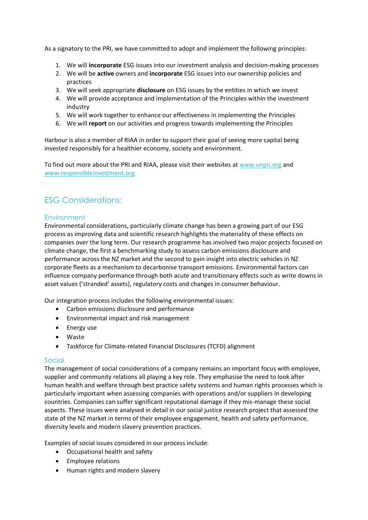As a signatory to the PRI, we have committed to adopt and implement the following principles:

- 1. We will **incorporate** ESG issues into our investment analysis and decision-making processes
- 2. We will be **active** owners and **incorporate** ESG issues into our ownership policies and practices
- 3. We will seek appropriate **disclosure** on ESG issues by the entities in which we invest
- 4. We will provide acceptance and implementation of the Principles within the investment industry
- 5. We will work together to enhance our effectiveness in implementing the Principles
- 6. We will **report** on our activities and progress towards implementing the Principles

Harbour is also a member of RIAA in order to support their goal of seeing more capital being invested responsibly for a healthier economy, society and environment.

To find out more about the PRI and RIAA, please visit their websites at [www.unpri.org](http://www.unpri.org/) and [www.responsibleinvestment.org](http://www.responsibleinvestment.org/)

## ESG Considerations:

## **Environment**

Environmental considerations, particularly climate change has been a growing part of our ESG process as improving data and scientific research highlights the materiality of these effects on companies over the long term. Our research programme has involved two major projects focused on climate change, the first a benchmarking study to assess carbon emissions disclosure and performance across the NZ market and the second to gain insight into electric vehicles in NZ corporate fleets as a mechanism to decarbonise transport emissions. Environmental factors can influence company performance through both acute and transitionary effects such as write downs in asset values ('stranded' assets), regulatory costs and changes in consumer behaviour.

Our integration process includes the following environmental issues:

- Carbon emissions disclosure and performance
- Environmental impact and risk management
- Energy use
- Waste
- Taskforce for Climate-related Financial Disclosures (TCFD) alignment

#### Social

The management of social considerations of a company remains an important focus with employee, supplier and community relations all playing a key role. They emphasise the need to look after human health and welfare through best practice safety systems and human rights processes which is particularly important when assessing companies with operations and/or suppliers in developing countries. Companies can suffer significant reputational damage if they mis-manage these social aspects. These issues were analysed in detail in our social justice research project that assessed the state of the NZ market in terms of their employee engagement, health and safety performance, diversity levels and modern slavery prevention practices.

Examples of social issues considered in our process include:

- Occupational health and safety
- Employee relations
- Human rights and modern slavery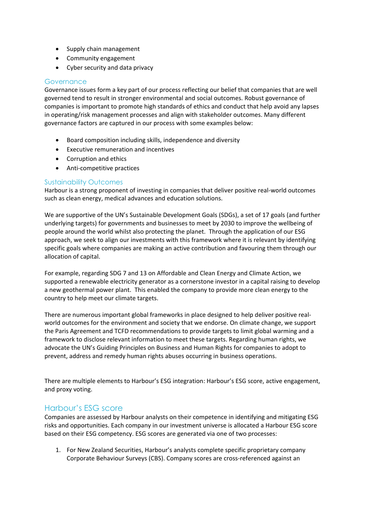- Supply chain management
- Community engagement
- Cyber security and data privacy

#### **Governance**

Governance issues form a key part of our process reflecting our belief that companies that are well governed tend to result in stronger environmental and social outcomes. Robust governance of companies is important to promote high standards of ethics and conduct that help avoid any lapses in operating/risk management processes and align with stakeholder outcomes. Many different governance factors are captured in our process with some examples below:

- Board composition including skills, independence and diversity
- Executive remuneration and incentives
- Corruption and ethics
- Anti-competitive practices

#### Sustainability Outcomes

Harbour is a strong proponent of investing in companies that deliver positive real-world outcomes such as clean energy, medical advances and education solutions.

We are supportive of the UN's Sustainable Development Goals (SDGs), a set of 17 goals (and further underlying targets) for governments and businesses to meet by 2030 to improve the wellbeing of people around the world whilst also protecting the planet. Through the application of our ESG approach, we seek to align our investments with this framework where it is relevant by identifying specific goals where companies are making an active contribution and favouring them through our allocation of capital.

For example, regarding SDG 7 and 13 on Affordable and Clean Energy and Climate Action, we supported a renewable electricity generator as a cornerstone investor in a capital raising to develop a new geothermal power plant. This enabled the company to provide more clean energy to the country to help meet our climate targets.

There are numerous important global frameworks in place designed to help deliver positive realworld outcomes for the environment and society that we endorse. On climate change, we support the Paris Agreement and TCFD recommendations to provide targets to limit global warming and a framework to disclose relevant information to meet these targets. Regarding human rights, we advocate the UN's Guiding Principles on Business and Human Rights for companies to adopt to prevent, address and remedy human rights abuses occurring in business operations.

There are multiple elements to Harbour's ESG integration: Harbour's ESG score, active engagement, and proxy voting.

## Harbour's ESG score

Companies are assessed by Harbour analysts on their competence in identifying and mitigating ESG risks and opportunities. Each company in our investment universe is allocated a Harbour ESG score based on their ESG competency. ESG scores are generated via one of two processes:

1. For New Zealand Securities, Harbour's analysts complete specific proprietary company Corporate Behaviour Surveys (CBS). Company scores are cross-referenced against an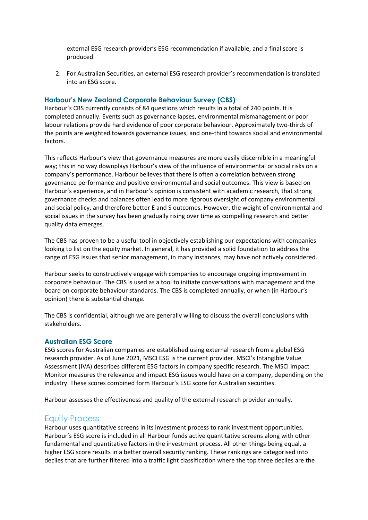external ESG research provider's ESG recommendation if available, and a final score is produced.

2. For Australian Securities, an external ESG research provider's recommendation is translated into an ESG score.

#### **Harbour's New Zealand Corporate Behaviour Survey (CBS)**

Harbour's CBS currently consists of 84 questions which results in a total of 240 points. It is completed annually. Events such as governance lapses, environmental mismanagement or poor labour relations provide hard evidence of poor corporate behaviour. Approximately two-thirds of the points are weighted towards governance issues, and one-third towards social and environmental factors.

This reflects Harbour's view that governance measures are more easily discernible in a meaningful way; this in no way downplays Harbour's view of the influence of environmental or social risks on a company's performance. Harbour believes that there is often a correlation between strong governance performance and positive environmental and social outcomes. This view is based on Harbour's experience, and in Harbour's opinion is consistent with academic research, that strong governance checks and balances often lead to more rigorous oversight of company environmental and social policy, and therefore better E and S outcomes. However, the weight of environmental and social issues in the survey has been gradually rising over time as compelling research and better quality data emerges.

The CBS has proven to be a useful tool in objectively establishing our expectations with companies looking to list on the equity market. In general, it has provided a solid foundation to address the range of ESG issues that senior management, in many instances, may have not actively considered.

Harbour seeks to constructively engage with companies to encourage ongoing improvement in corporate behaviour. The CBS is used as a tool to initiate conversations with management and the board on corporate behaviour standards. The CBS is completed annually, or when (in Harbour's opinion) there is substantial change.

The CBS is confidential, although we are generally willing to discuss the overall conclusions with stakeholders.

#### **Australian ESG Score**

ESG scores for Australian companies are established using external research from a global ESG research provider. As of June 2021, MSCI ESG is the current provider. MSCI's Intangible Value Assessment (IVA) describes different ESG factors in company specific research. The MSCI Impact Monitor measures the relevance and impact ESG issues would have on a company, depending on the industry. These scores combined form Harbour's ESG score for Australian securities.

Harbour assesses the effectiveness and quality of the external research provider annually.

## Equity Process

Harbour uses quantitative screens in its investment process to rank investment opportunities. Harbour's ESG score is included in all Harbour funds active quantitative screens along with other fundamental and quantitative factors in the investment process. All other things being equal, a higher ESG score results in a better overall security ranking. These rankings are categorised into deciles that are further filtered into a traffic light classification where the top three deciles are the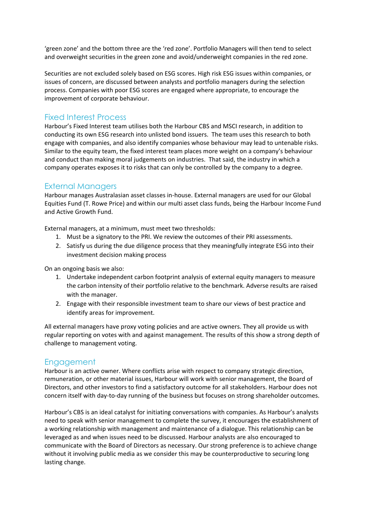'green zone' and the bottom three are the 'red zone'. Portfolio Managers will then tend to select and overweight securities in the green zone and avoid/underweight companies in the red zone.

Securities are not excluded solely based on ESG scores. High risk ESG issues within companies, or issues of concern, are discussed between analysts and portfolio managers during the selection process. Companies with poor ESG scores are engaged where appropriate, to encourage the improvement of corporate behaviour.

## Fixed Interest Process

Harbour's Fixed Interest team utilises both the Harbour CBS and MSCI research, in addition to conducting its own ESG research into unlisted bond issuers. The team uses this research to both engage with companies, and also identify companies whose behaviour may lead to untenable risks. Similar to the equity team, the fixed interest team places more weight on a company's behaviour and conduct than making moral judgements on industries. That said, the industry in which a company operates exposes it to risks that can only be controlled by the company to a degree.

## External Managers

Harbour manages Australasian asset classes in-house. External managers are used for our Global Equities Fund (T. Rowe Price) and within our multi asset class funds, being the Harbour Income Fund and Active Growth Fund.

External managers, at a minimum, must meet two thresholds:

- 1. Must be a signatory to the PRI. We review the outcomes of their PRI assessments.
- 2. Satisfy us during the due diligence process that they meaningfully integrate ESG into their investment decision making process

On an ongoing basis we also:

- 1. Undertake independent carbon footprint analysis of external equity managers to measure the carbon intensity of their portfolio relative to the benchmark. Adverse results are raised with the manager.
- 2. Engage with their responsible investment team to share our views of best practice and identify areas for improvement.

All external managers have proxy voting policies and are active owners. They all provide us with regular reporting on votes with and against management. The results of this show a strong depth of challenge to management voting.

## **Engagement**

Harbour is an active owner. Where conflicts arise with respect to company strategic direction, remuneration, or other material issues, Harbour will work with senior management, the Board of Directors, and other investors to find a satisfactory outcome for all stakeholders. Harbour does not concern itself with day-to-day running of the business but focuses on strong shareholder outcomes.

Harbour's CBS is an ideal catalyst for initiating conversations with companies. As Harbour's analysts need to speak with senior management to complete the survey, it encourages the establishment of a working relationship with management and maintenance of a dialogue. This relationship can be leveraged as and when issues need to be discussed. Harbour analysts are also encouraged to communicate with the Board of Directors as necessary. Our strong preference is to achieve change without it involving public media as we consider this may be counterproductive to securing long lasting change.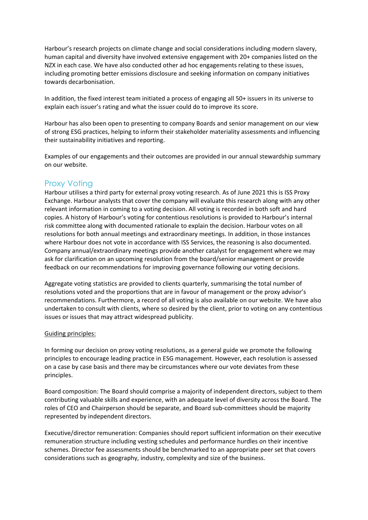Harbour's research projects on climate change and social considerations including modern slavery, human capital and diversity have involved extensive engagement with 20+ companies listed on the NZX in each case. We have also conducted other ad hoc engagements relating to these issues, including promoting better emissions disclosure and seeking information on company initiatives towards decarbonisation.

In addition, the fixed interest team initiated a process of engaging all 50+ issuers in its universe to explain each issuer's rating and what the issuer could do to improve its score.

Harbour has also been open to presenting to company Boards and senior management on our view of strong ESG practices, helping to inform their stakeholder materiality assessments and influencing their sustainability initiatives and reporting.

Examples of our engagements and their outcomes are provided in our annual stewardship summary on our website.

## Proxy Voting

Harbour utilises a third party for external proxy voting research. As of June 2021 this is ISS Proxy Exchange. Harbour analysts that cover the company will evaluate this research along with any other relevant information in coming to a voting decision. All voting is recorded in both soft and hard copies. A history of Harbour's voting for contentious resolutions is provided to Harbour's internal risk committee along with documented rationale to explain the decision. Harbour votes on all resolutions for both annual meetings and extraordinary meetings. In addition, in those instances where Harbour does not vote in accordance with ISS Services, the reasoning is also documented. Company annual/extraordinary meetings provide another catalyst for engagement where we may ask for clarification on an upcoming resolution from the board/senior management or provide feedback on our recommendations for improving governance following our voting decisions.

Aggregate voting statistics are provided to clients quarterly, summarising the total number of resolutions voted and the proportions that are in favour of management or the proxy advisor's recommendations. Furthermore, a record of all voting is also available on our website. We have also undertaken to consult with clients, where so desired by the client, prior to voting on any contentious issues or issues that may attract widespread publicity.

#### Guiding principles:

In forming our decision on proxy voting resolutions, as a general guide we promote the following principles to encourage leading practice in ESG management. However, each resolution is assessed on a case by case basis and there may be circumstances where our vote deviates from these principles.

Board composition: The Board should comprise a majority of independent directors, subject to them contributing valuable skills and experience, with an adequate level of diversity across the Board. The roles of CEO and Chairperson should be separate, and Board sub-committees should be majority represented by independent directors.

Executive/director remuneration: Companies should report sufficient information on their executive remuneration structure including vesting schedules and performance hurdles on their incentive schemes. Director fee assessments should be benchmarked to an appropriate peer set that covers considerations such as geography, industry, complexity and size of the business.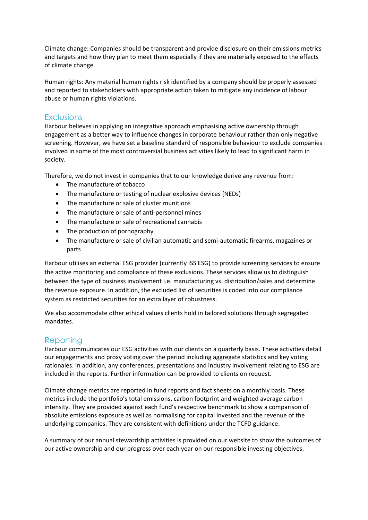Climate change: Companies should be transparent and provide disclosure on their emissions metrics and targets and how they plan to meet them especially if they are materially exposed to the effects of climate change.

Human rights: Any material human rights risk identified by a company should be properly assessed and reported to stakeholders with appropriate action taken to mitigate any incidence of labour abuse or human rights violations.

## **Exclusions**

Harbour believes in applying an integrative approach emphasising active ownership through engagement as a better way to influence changes in corporate behaviour rather than only negative screening. However, we have set a baseline standard of responsible behaviour to exclude companies involved in some of the most controversial business activities likely to lead to significant harm in society.

Therefore, we do not invest in companies that to our knowledge derive any revenue from:

- The manufacture of tobacco
- The manufacture or testing of nuclear explosive devices (NEDs)
- The manufacture or sale of cluster munitions
- The manufacture or sale of anti-personnel mines
- The manufacture or sale of recreational cannabis
- The production of pornography
- The manufacture or sale of civilian automatic and semi-automatic firearms, magazines or parts

Harbour utilises an external ESG provider (currently ISS ESG) to provide screening services to ensure the active monitoring and compliance of these exclusions. These services allow us to distinguish between the type of business involvement i.e. manufacturing vs. distribution/sales and determine the revenue exposure. In addition, the excluded list of securities is coded into our compliance system as restricted securities for an extra layer of robustness.

We also accommodate other ethical values clients hold in tailored solutions through segregated mandates.

## Reporting

Harbour communicates our ESG activities with our clients on a quarterly basis. These activities detail our engagements and proxy voting over the period including aggregate statistics and key voting rationales. In addition, any conferences, presentations and industry involvement relating to ESG are included in the reports. Further information can be provided to clients on request.

Climate change metrics are reported in fund reports and fact sheets on a monthly basis. These metrics include the portfolio's total emissions, carbon footprint and weighted average carbon intensity. They are provided against each fund's respective benchmark to show a comparison of absolute emissions exposure as well as normalising for capital invested and the revenue of the underlying companies. They are consistent with definitions under the TCFD guidance.

A summary of our annual stewardship activities is provided on our website to show the outcomes of our active ownership and our progress over each year on our responsible investing objectives.